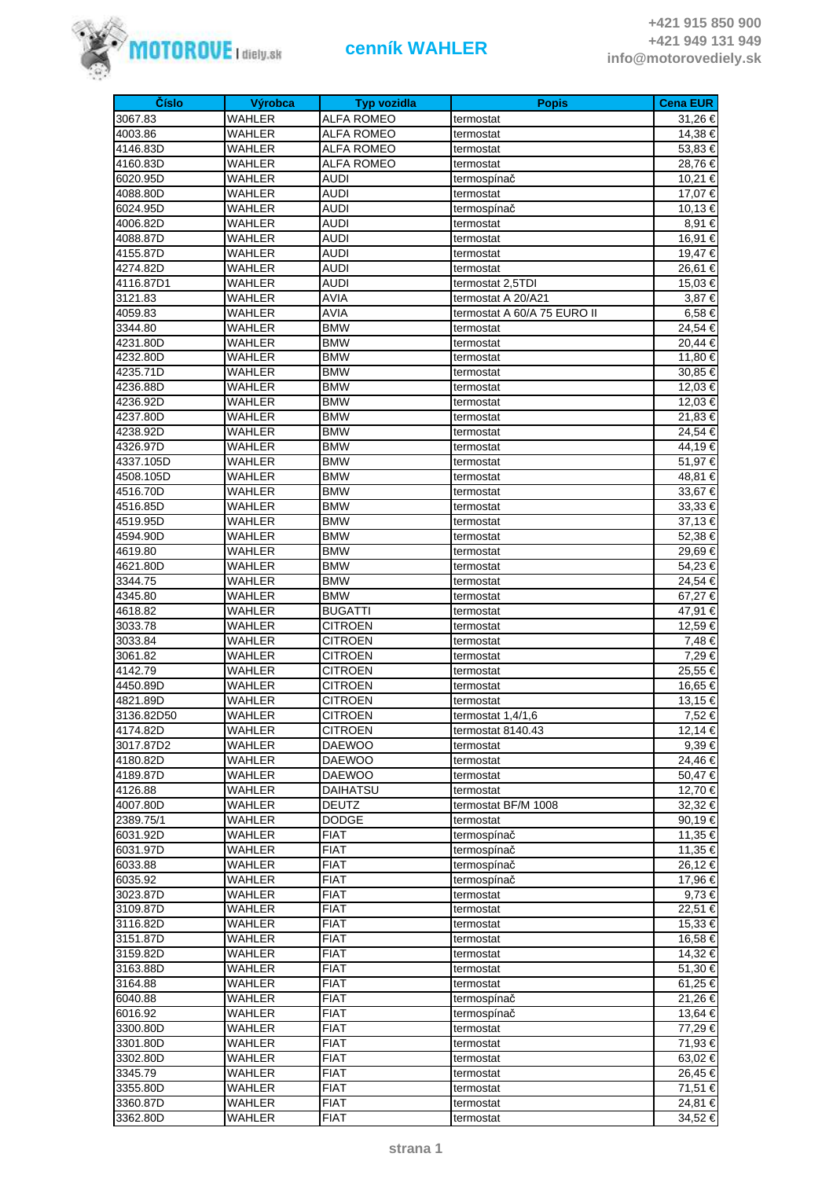

| Číslo      | Výrobca       | <b>Typ vozidla</b> |                             | <b>Cena EUR</b> |
|------------|---------------|--------------------|-----------------------------|-----------------|
|            | <b>WAHLER</b> |                    | <b>Popis</b>                |                 |
| 3067.83    |               | <b>ALFA ROMEO</b>  | termostat                   | 31,26 €         |
| 4003.86    | WAHLER        | <b>ALFA ROMEO</b>  | termostat                   | 14,38 €         |
| 4146.83D   | WAHLER        | ALFA ROMEO         | termostat                   | 53,83 €         |
| 4160.83D   | WAHLER        | <b>ALFA ROMEO</b>  | termostat                   | 28,76€          |
| 6020.95D   | WAHLER        | AUDI               | termospínač                 | 10,21 €         |
| 4088.80D   | WAHLER        | <b>AUDI</b>        | termostat                   | 17,07 €         |
| 6024.95D   | WAHLER        | AUDI               | termospínač                 | 10,13 €         |
| 4006.82D   | WAHLER        | <b>AUDI</b>        | termostat                   | 8,91 €          |
| 4088.87D   | WAHLER        | AUDI               | termostat                   | 16,91 €         |
| 4155.87D   | <b>WAHLER</b> | <b>AUDI</b>        | termostat                   | 19,47 €         |
| 4274.82D   | WAHLER        | AUDI               | termostat                   | 26,61 €         |
| 4116.87D1  | WAHLER        | <b>AUDI</b>        | termostat 2,5TDI            | 15,03 €         |
| 3121.83    | WAHLER        | AVIA               | termostat A 20/A21          | 3,87 €          |
| 4059.83    | WAHLER        | <b>AVIA</b>        | termostat A 60/A 75 EURO II | 6,58€           |
| 3344.80    | WAHLER        | <b>BMW</b>         | termostat                   | 24,54 €         |
| 4231.80D   | WAHLER        | <b>BMW</b>         | termostat                   | 20,44 €         |
| 4232.80D   | WAHLER        | <b>BMW</b>         | termostat                   | 11,80 €         |
| 4235.71D   | WAHLER        | <b>BMW</b>         | termostat                   | 30,85 €         |
| 4236.88D   | WAHLER        | <b>BMW</b>         | termostat                   | 12,03 €         |
| 4236.92D   | WAHLER        | <b>BMW</b>         | termostat                   | 12,03 €         |
| 4237.80D   | WAHLER        | <b>BMW</b>         | termostat                   | 21,83 €         |
| 4238.92D   | WAHLER        | <b>BMW</b>         | termostat                   | 24,54 €         |
| 4326.97D   | <b>WAHLER</b> | <b>BMW</b>         | termostat                   | 44,19€          |
| 4337.105D  | WAHLER        | <b>BMW</b>         | termostat                   | 51.97 €         |
| 4508.105D  | WAHLER        | <b>BMW</b>         | termostat                   | 48,81 €         |
| 4516.70D   | WAHLER        | <b>BMW</b>         | termostat                   | 33,67 €         |
| 4516.85D   | WAHLER        | <b>BMW</b>         | termostat                   | 33,33 €         |
| 4519.95D   | WAHLER        | <b>BMW</b>         | termostat                   | 37,13 €         |
| 4594.90D   | WAHLER        | <b>BMW</b>         | termostat                   | 52,38 €         |
| 4619.80    | WAHLER        | <b>BMW</b>         | termostat                   | 29,69€          |
| 4621.80D   | WAHLER        | <b>BMW</b>         | termostat                   | 54,23€          |
| 3344.75    | <b>WAHLER</b> | <b>BMW</b>         | termostat                   | 24,54 €         |
| 4345.80    | WAHLER        | <b>BMW</b>         | termostat                   | 67,27€          |
| 4618.82    | WAHLER        | <b>BUGATTI</b>     | termostat                   | 47,91 €         |
| 3033.78    | WAHLER        | <b>CITROEN</b>     | termostat                   | 12,59€          |
| 3033.84    | WAHLER        | <b>CITROEN</b>     | termostat                   | 7,48 €          |
| 3061.82    | WAHLER        | <b>CITROEN</b>     | termostat                   | 7,29 €          |
| 4142.79    | WAHLER        | <b>CITROEN</b>     | termostat                   | 25,55 €         |
| 4450.89D   | WAHLER        | <b>CITROEN</b>     | termostat                   | 16,65 €         |
| 4821.89D   | WAHLER        | <b>CITROEN</b>     | termostat                   | 13,15 €         |
| 3136.82D50 | WAHLER        | <b>CITROEN</b>     | termostat 1,4/1,6           | 7,52€           |
| 4174.82D   | WAHLER        | <b>CITROEN</b>     | termostat 8140.43           | 12,14 €         |
| 3017.87D2  | WAHLER        | <b>DAEWOO</b>      | termostat                   | 9,39€           |
| 4180.82D   | WAHLER        | <b>DAEWOO</b>      | termostat                   | 24,46 €         |
| 4189.87D   | WAHLER        | <b>DAEWOO</b>      | termostat                   | 50,47 €         |
| 4126.88    | WAHLER        | <b>DAIHATSU</b>    | termostat                   | 12,70 €         |
| 4007.80D   | WAHLER        | <b>DEUTZ</b>       | termostat BF/M 1008         | 32,32 €         |
| 2389.75/1  | WAHLER        | <b>DODGE</b>       | termostat                   | 90,19 €         |
| 6031.92D   | WAHLER        | <b>FIAT</b>        | termospínač                 | 11,35 €         |
| 6031.97D   | WAHLER        | <b>FIAT</b>        | termospínač                 | 11,35 €         |
| 6033.88    | WAHLER        | <b>FIAT</b>        | termospínač                 | 26,12 €         |
| 6035.92    | WAHLER        | <b>FIAT</b>        | termospínač                 | 17,96 €         |
| 3023.87D   | WAHLER        | <b>FIAT</b>        | termostat                   | 9,73 €          |
| 3109.87D   | WAHLER        | <b>FIAT</b>        | termostat                   | 22,51 €         |
| 3116.82D   | WAHLER        | <b>FIAT</b>        | termostat                   | 15,33 €         |
| 3151.87D   | WAHLER        | <b>FIAT</b>        | termostat                   | 16,58 €         |
| 3159.82D   | WAHLER        | <b>FIAT</b>        | termostat                   | 14,32 €         |
| 3163.88D   | WAHLER        | <b>FIAT</b>        | termostat                   | 51,30 €         |
| 3164.88    | WAHLER        | <b>FIAT</b>        | termostat                   | 61,25 €         |
| 6040.88    | WAHLER        | <b>FIAT</b>        | termospínač                 | 21,26 €         |
| 6016.92    | WAHLER        | <b>FIAT</b>        | termospínač                 | 13,64 €         |
| 3300.80D   | WAHLER        | <b>FIAT</b>        | termostat                   | 77,29 €         |
| 3301.80D   | WAHLER        | <b>FIAT</b>        | termostat                   | 71,93 €         |
| 3302.80D   | WAHLER        | <b>FIAT</b>        | termostat                   | 63,02€          |
| 3345.79    | WAHLER        | <b>FIAT</b>        | termostat                   | 26,45 €         |
| 3355.80D   | WAHLER        | <b>FIAT</b>        | termostat                   | 71,51 €         |
| 3360.87D   | WAHLER        | <b>FIAT</b>        | termostat                   | 24,81 €         |
| 3362.80D   | WAHLER        | <b>FIAT</b>        | termostat                   | 34,52 €         |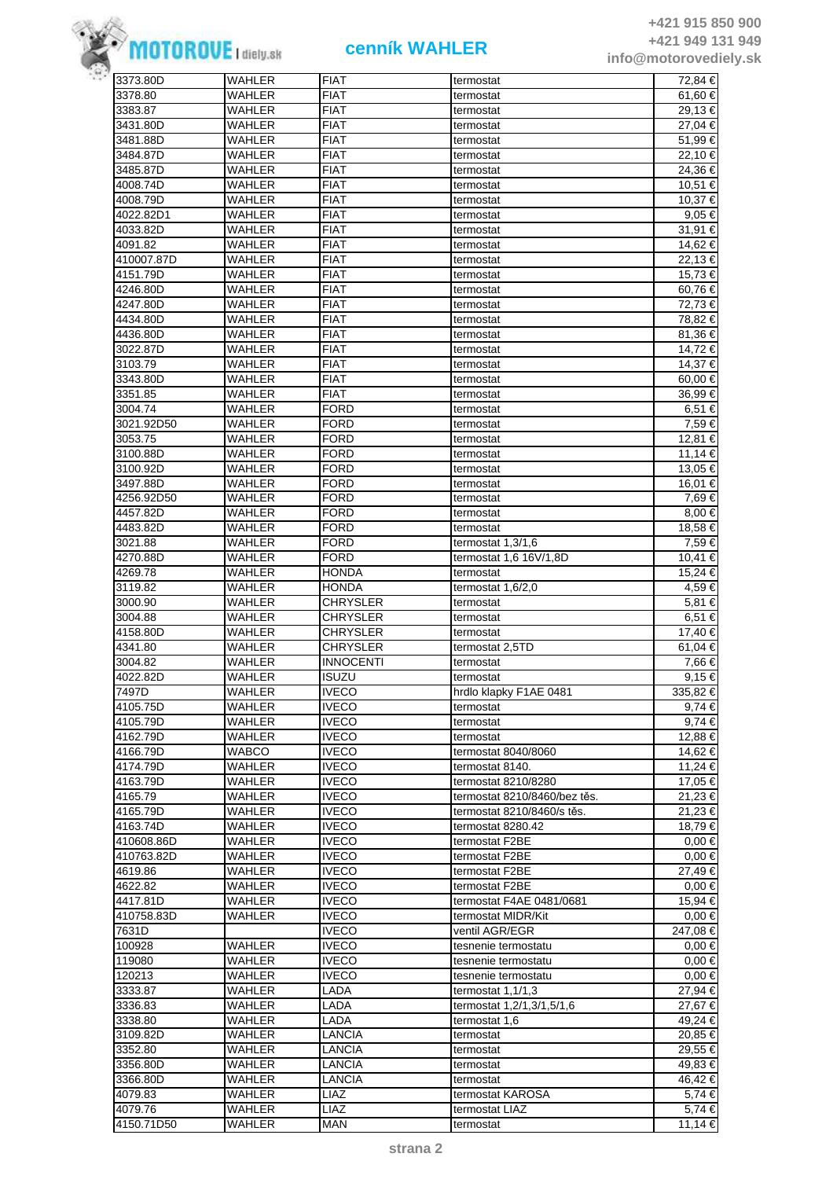

| 3373.80D   | WAHLER        | <b>FIAT</b>      | termostat                    | 72,84 €    |
|------------|---------------|------------------|------------------------------|------------|
| 3378.80    | WAHLER        | <b>FIAT</b>      | termostat                    | 61,60 €    |
| 3383.87    | WAHLER        | <b>FIAT</b>      | termostat                    | 29,13 €    |
| 3431.80D   | WAHLER        | <b>FIAT</b>      | termostat                    | 27,04 €    |
| 3481.88D   | WAHLER        | <b>FIAT</b>      | termostat                    | 51,99€     |
| 3484.87D   | WAHLER        | <b>FIAT</b>      | termostat                    | 22,10 €    |
|            |               |                  |                              |            |
| 3485.87D   | WAHLER        | <b>FIAT</b>      | termostat                    | 24,36 €    |
| 4008.74D   | WAHLER        | <b>FIAT</b>      | termostat                    | 10,51 €    |
| 4008.79D   | WAHLER        | <b>FIAT</b>      | termostat                    | 10,37 €    |
| 4022.82D1  | WAHLER        | <b>FIAT</b>      | termostat                    | 9,05 €     |
| 4033.82D   | WAHLER        | <b>FIAT</b>      | termostat                    | 31,91 €    |
| 4091.82    | WAHLER        | <b>FIAT</b>      | termostat                    | 14,62 €    |
| 410007.87D | WAHLER        | <b>FIAT</b>      | termostat                    | 22,13 €    |
| 4151.79D   | WAHLER        | <b>FIAT</b>      | termostat                    | 15,73 €    |
| 4246.80D   | WAHLER        | <b>FIAT</b>      | termostat                    | 60,76€     |
| 4247.80D   | WAHLER        | <b>FIAT</b>      | termostat                    | 72,73 €    |
|            |               |                  |                              |            |
| 4434.80D   | WAHLER        | <b>FIAT</b>      | termostat                    | 78,82 €    |
| 4436.80D   | WAHLER        | <b>FIAT</b>      | termostat                    | 81,36 €    |
| 3022.87D   | WAHLER        | <b>FIAT</b>      | termostat                    | 14,72 €    |
| 3103.79    | WAHLER        | <b>FIAT</b>      | termostat                    | 14,37 €    |
| 3343.80D   | WAHLER        | <b>FIAT</b>      | termostat                    | 60,00 €    |
| 3351.85    | WAHLER        | <b>FIAT</b>      | termostat                    | 36,99€     |
| 3004.74    | WAHLER        | <b>FORD</b>      | termostat                    | 6,51 €     |
| 3021.92D50 | WAHLER        | <b>FORD</b>      | termostat                    | 7,59 €     |
| 3053.75    | WAHLER        | <b>FORD</b>      | termostat                    | 12.81 €    |
|            |               |                  |                              |            |
| 3100.88D   | WAHLER        | FORD             | termostat                    | 11,14 €    |
| 3100.92D   | WAHLER        | <b>FORD</b>      | termostat                    | 13.05 €    |
| 3497.88D   | WAHLER        | <b>FORD</b>      | termostat                    | 16,01 €    |
| 4256.92D50 | WAHLER        | <b>FORD</b>      | termostat                    | 7,69 €     |
| 4457.82D   | WAHLER        | <b>FORD</b>      | termostat                    | 8,00 €     |
| 4483.82D   | WAHLER        | <b>FORD</b>      | termostat                    | 18,58 €    |
| 3021.88    | WAHLER        | <b>FORD</b>      | termostat $1,3/1,6$          | 7,59 €     |
| 4270.88D   | WAHLER        | <b>FORD</b>      | termostat 1,6 16V/1,8D       | 10,41 €    |
| 4269.78    | <b>WAHLER</b> | <b>HONDA</b>     | termostat                    | 15,24 €    |
| 3119.82    | WAHLER        | <b>HONDA</b>     | termostat 1,6/2,0            | 4,59 €     |
|            | WAHLER        | CHRYSLER         |                              | 5,81 €     |
| 3000.90    |               |                  | termostat                    |            |
| 3004.88    | WAHLER        | <b>CHRYSLER</b>  | termostat                    | 6,51 €     |
| 4158.80D   | WAHLER        | <b>CHRYSLER</b>  | termostat                    | 17,40 €    |
| 4341.80    | WAHLER        | CHRYSLER         | termostat 2,5TD              | 61,04 €    |
| 3004.82    | WAHLER        | <b>INNOCENTI</b> | termostat                    | 7,66 €     |
| 4022.82D   | WAHLER        | <b>ISUZU</b>     | termostat                    | $9,15 \in$ |
| 7497D      | <b>WAHLER</b> | <b>IVECO</b>     | hrdlo klapky F1AE 0481       | 335,82€    |
| 4105.75D   | WAHLER        | <b>IVECO</b>     | termostat                    | 9,74 €     |
| 4105.79D   | <b>WAHLER</b> | <b>IVECO</b>     | termostat                    | $9,74 \in$ |
| 4162.79D   | <b>WAHLER</b> | <b>IVECO</b>     | termostat                    | 12,88 €    |
| 4166.79D   | <b>WABCO</b>  | <b>IVECO</b>     | termostat 8040/8060          | 14,62 €    |
|            |               | <b>IVECO</b>     |                              |            |
| 4174.79D   | WAHLER        |                  | termostat 8140.              | 11,24 €    |
| 4163.79D   | WAHLER        | <b>IVECO</b>     | termostat 8210/8280          | 17,05 €    |
| 4165.79    | <b>WAHLER</b> | <b>IVECO</b>     | termostat 8210/8460/bez těs. | 21,23 €    |
| 4165.79D   | WAHLER        | <b>IVECO</b>     | termostat 8210/8460/s těs.   | 21,23 €    |
| 4163.74D   | WAHLER        | <b>IVECO</b>     | termostat 8280.42            | 18,79 €    |
| 410608.86D | WAHLER        | <b>IVECO</b>     | termostat F2BE               | $0,00 \in$ |
| 410763.82D | <b>WAHLER</b> | <b>IVECO</b>     | termostat F2BE               | $0,00 \in$ |
| 4619.86    | WAHLER        | <b>IVECO</b>     | termostat F2BE               | 27,49€     |
| 4622.82    | WAHLER        | <b>IVECO</b>     | termostat F2BE               | $0.00 \in$ |
| 4417.81D   | WAHLER        | <b>IVECO</b>     | termostat F4AE 0481/0681     | 15,94 €    |
|            |               | <b>IVECO</b>     |                              |            |
| 410758.83D | WAHLER        |                  | termostat MIDR/Kit           | $0,00 \in$ |
| 7631D      |               | <b>IVECO</b>     | ventil AGR/EGR               | 247,08€    |
| 100928     | WAHLER        | <b>IVECO</b>     | tesnenie termostatu          | $0.00 \in$ |
| 119080     | WAHLER        | <b>IVECO</b>     | tesnenie termostatu          | $0.00 \in$ |
| 120213     | WAHLER        | <b>IVECO</b>     | tesnenie termostatu          | $0,00 \in$ |
| 3333.87    | WAHLER        | LADA             | termostat $1,1/1,3$          | 27,94 €    |
| 3336.83    | <b>WAHLER</b> | LADA             | termostat 1,2/1,3/1,5/1,6    | 27,67 €    |
| 3338.80    | WAHLER        | LADA             | termostat 1,6                | 49,24 €    |
| 3109.82D   | WAHLER        | LANCIA           | termostat                    | 20,85 €    |
| 3352.80    | WAHLER        | LANCIA           | termostat                    | 29,55 €    |
|            |               |                  |                              |            |
| 3356.80D   | <b>WAHLER</b> | <b>LANCIA</b>    | termostat                    | 49,83 €    |
| 3366.80D   | WAHLER        | <b>LANCIA</b>    | termostat                    | 46,42 €    |
| 4079.83    | WAHLER        | LIAZ             | termostat KAROSA             | 5,74 €     |
| 4079.76    | WAHLER        | LIAZ             | termostat LIAZ               | 5,74 €     |
| 4150.71D50 | WAHLER        | <b>MAN</b>       | termostat                    | 11,14 €    |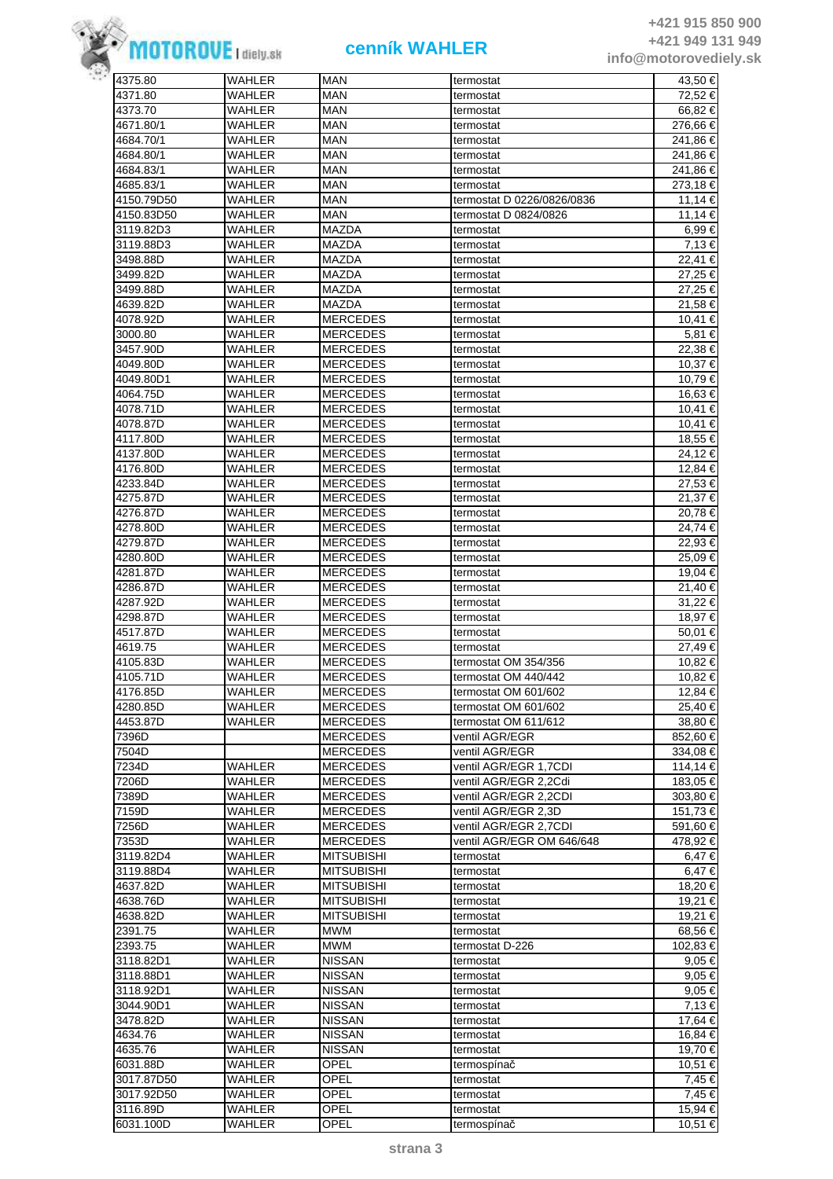

| 4375.80    | <b>WAHLER</b> | <b>MAN</b>        | termostat                  | 43,50 €    |
|------------|---------------|-------------------|----------------------------|------------|
| 4371.80    | <b>WAHLER</b> | <b>MAN</b>        | termostat                  | 72,52 €    |
| 4373.70    | WAHLER        | <b>MAN</b>        | termostat                  | 66,82 €    |
|            |               |                   |                            |            |
| 4671.80/1  | WAHLER        | <b>MAN</b>        | termostat                  | 276,66 €   |
| 4684.70/1  | WAHLER        | <b>MAN</b>        | termostat                  | 241,86 €   |
| 4684.80/1  | WAHLER        | <b>MAN</b>        | termostat                  | 241,86 €   |
| 4684.83/1  | WAHLER        | <b>MAN</b>        | termostat                  | 241,86 €   |
| 4685.83/1  | WAHLER        | MAN               | termostat                  | 273,18 €   |
| 4150.79D50 | WAHLER        | <b>MAN</b>        | termostat D 0226/0826/0836 | 11,14 €    |
|            |               | <b>MAN</b>        |                            |            |
| 4150.83D50 | WAHLER        |                   | termostat D 0824/0826      | 11,14 €    |
| 3119.82D3  | WAHLER        | <b>MAZDA</b>      | termostat                  | 6,99€      |
| 3119.88D3  | <b>WAHLER</b> | <b>MAZDA</b>      | termostat                  | 7,13€      |
| 3498.88D   | WAHLER        | <b>MAZDA</b>      | termostat                  | 22,41 €    |
| 3499.82D   | WAHLER        | <b>MAZDA</b>      | termostat                  | 27,25 €    |
| 3499.88D   | WAHLER        | <b>MAZDA</b>      | termostat                  | 27,25 €    |
|            |               |                   |                            |            |
| 4639.82D   | WAHLER        | <b>MAZDA</b>      | termostat                  | 21,58 €    |
| 4078.92D   | WAHLER        | <b>MERCEDES</b>   | termostat                  | 10,41 €    |
| 3000.80    | WAHLER        | <b>MERCEDES</b>   | termostat                  | 5,81 €     |
| 3457.90D   | WAHLER        | <b>MERCEDES</b>   | termostat                  | 22,38 €    |
| 4049.80D   | WAHLER        | <b>MERCEDES</b>   | termostat                  | 10,37 €    |
| 4049.80D1  | WAHLER        | <b>MERCEDES</b>   | termostat                  | 10,79 €    |
|            |               |                   |                            |            |
| 4064.75D   | WAHLER        | <b>MERCEDES</b>   | termostat                  | 16,63 €    |
| 4078.71D   | WAHLER        | <b>MERCEDES</b>   | termostat                  | 10,41 €    |
| 4078.87D   | WAHLER        | <b>MERCEDES</b>   | termostat                  | 10,41 €    |
| 4117.80D   | WAHLER        | <b>MERCEDES</b>   | termostat                  | 18,55 €    |
| 4137.80D   | WAHLER        | <b>MERCEDES</b>   | termostat                  | 24,12 €    |
|            |               |                   |                            |            |
| 4176.80D   | WAHLER        | <b>MERCEDES</b>   | termostat                  | 12,84 €    |
| 4233.84D   | WAHLER        | <b>MERCEDES</b>   | termostat                  | 27,53 €    |
| 4275.87D   | WAHLER        | <b>MERCEDES</b>   | termostat                  | 21,37 €    |
| 4276.87D   | WAHLER        | <b>MERCEDES</b>   | termostat                  | 20,78 €    |
| 4278.80D   | <b>WAHLER</b> | <b>MERCEDES</b>   | termostat                  | 24,74 €    |
|            | WAHLER        | <b>MERCEDES</b>   |                            |            |
| 4279.87D   |               |                   | termostat                  | 22,93 €    |
| 4280.80D   | WAHLER        | <b>MERCEDES</b>   | termostat                  | 25,09€     |
| 4281.87D   | WAHLER        | <b>MERCEDES</b>   | termostat                  | 19,04 €    |
| 4286.87D   | WAHLER        | <b>MERCEDES</b>   | termostat                  | 21,40 €    |
| 4287.92D   | WAHLER        | <b>MERCEDES</b>   | termostat                  | 31,22 €    |
| 4298.87D   | WAHLER        | <b>MERCEDES</b>   | termostat                  | 18,97 €    |
|            |               |                   |                            |            |
| 4517.87D   | WAHLER        | <b>MERCEDES</b>   | termostat                  | 50.01 €    |
| 4619.75    | WAHLER        | <b>MERCEDES</b>   | termostat                  | 27,49 €    |
| 4105.83D   | WAHLER        | <b>MERCEDES</b>   | termostat OM 354/356       | 10,82 €    |
| 4105.71D   | <b>WAHLER</b> | <b>MERCEDES</b>   | termostat OM 440/442       | 10,82 €    |
| 4176.85D   | WAHLER        | <b>MERCEDES</b>   | termostat OM 601/602       | 12,84 €    |
| 4280.85D   | WAHLER        |                   |                            | 25.40 €    |
|            |               | <b>MERCEDES</b>   | termostat OM 601/602       |            |
| 4453.87D   | WAHLER        | <b>MERCEDES</b>   | termostat OM 611/612       | 38,80 €    |
| 7396D      |               | <b>MERCEDES</b>   | ventil AGR/EGR             | 852,60 €   |
| 7504D      |               | <b>MERCEDES</b>   | ventil AGR/EGR             | 334,08 €   |
| 7234D      | WAHLER        | <b>MERCEDES</b>   | ventil AGR/EGR 1,7CDI      | 114,14 €   |
| 7206D      | WAHLER        | <b>MERCEDES</b>   | ventil AGR/EGR 2,2Cdi      | 183,05 €   |
|            |               |                   |                            |            |
| 7389D      | WAHLER        | <b>MERCEDES</b>   | ventil AGR/EGR 2,2CDI      | 303,80 €   |
| 7159D      | <b>WAHLER</b> | <b>MERCEDES</b>   | ventil AGR/EGR 2,3D        | 151,73 €   |
| 7256D      | WAHLER        | <b>MERCEDES</b>   | ventil AGR/EGR 2,7CDI      | 591,60 €   |
| 7353D      | WAHLER        | <b>MERCEDES</b>   | ventil AGR/EGR OM 646/648  | 478,92 €   |
| 3119.82D4  | WAHLER        | <b>MITSUBISHI</b> | termostat                  | 6,47 €     |
| 3119.88D4  | WAHLER        | <b>MITSUBISHI</b> |                            | 6,47 €     |
|            |               |                   | termostat                  |            |
| 4637.82D   | WAHLER        | <b>MITSUBISHI</b> | termostat                  | 18,20 €    |
| 4638.76D   | WAHLER        | <b>MITSUBISHI</b> | termostat                  | 19,21 €    |
| 4638.82D   | WAHLER        | <b>MITSUBISHI</b> | termostat                  | 19,21 €    |
| 2391.75    | WAHLER        | <b>MWM</b>        | termostat                  | 68,56 €    |
| 2393.75    | WAHLER        | <b>MWM</b>        | termostat D-226            | 102,83 €   |
|            |               | <b>NISSAN</b>     |                            |            |
| 3118.82D1  | WAHLER        |                   | termostat                  | 9,05 €     |
| 3118.88D1  | WAHLER        | <b>NISSAN</b>     | termostat                  | $9,05 \in$ |
| 3118.92D1  | WAHLER        | <b>NISSAN</b>     | termostat                  | 9,05 €     |
| 3044.90D1  | WAHLER        | <b>NISSAN</b>     | termostat                  | 7,13 €     |
| 3478.82D   | WAHLER        | <b>NISSAN</b>     | termostat                  | 17,64 €    |
| 4634.76    | WAHLER        | <b>NISSAN</b>     | termostat                  | 16,84 €    |
|            |               |                   |                            |            |
| 4635.76    | WAHLER        | <b>NISSAN</b>     | termostat                  | 19,70 €    |
| 6031.88D   | <b>WAHLER</b> | OPEL              | termospínač                | 10,51 €    |
| 3017.87D50 | WAHLER        | OPEL              | termostat                  | 7,45 €     |
| 3017.92D50 | WAHLER        | OPEL              | termostat                  | 7,45 €     |
| 3116.89D   | WAHLER        | OPEL              | termostat                  | 15,94 €    |
|            |               |                   |                            |            |
| 6031.100D  | WAHLER        | OPEL              | termospínač                | 10,51 €    |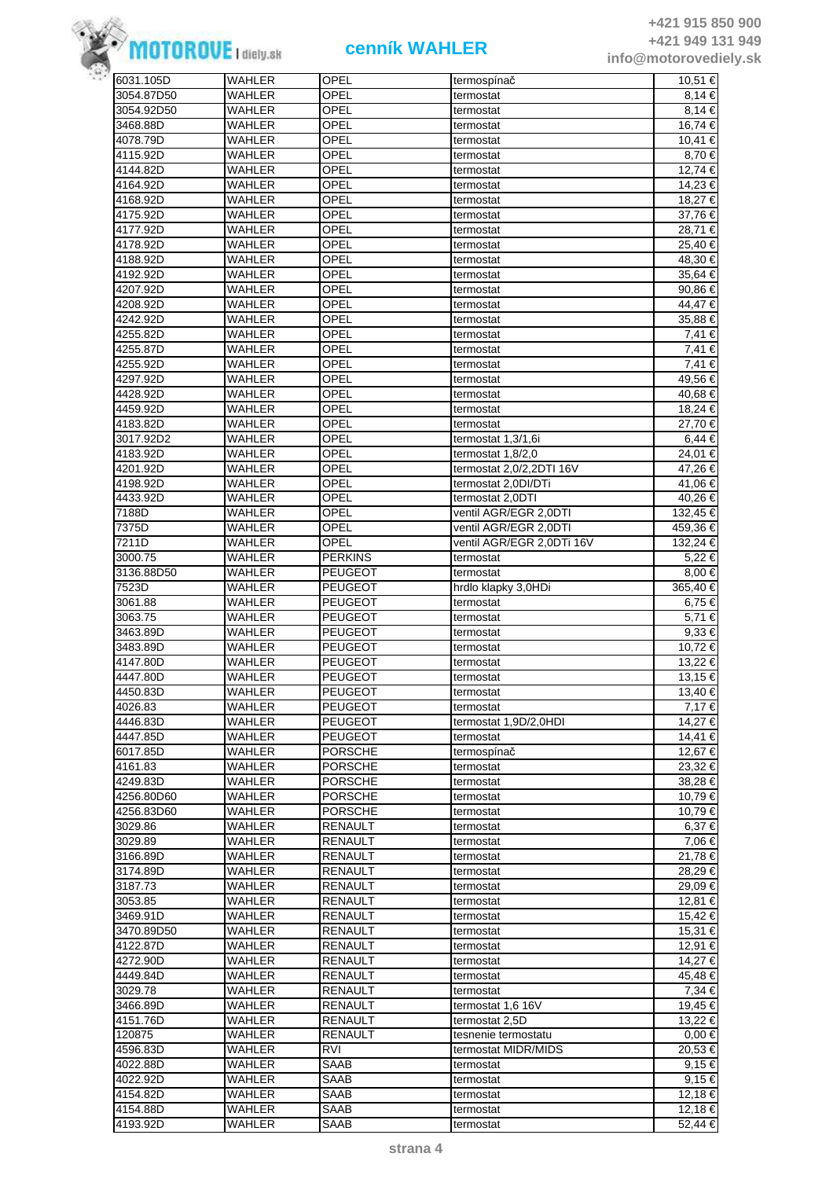

| 6031.105D  | WAHLER        | OPEL           | termospínač               | 10,51 €     |
|------------|---------------|----------------|---------------------------|-------------|
| 3054.87D50 | <b>WAHLER</b> | OPEL           | termostat                 | 8,14 €      |
| 3054.92D50 | WAHLER        | OPEL           | termostat                 | 8.14 €      |
| 3468.88D   | WAHLER        | OPEL           | termostat                 | 16,74 €     |
| 4078.79D   | WAHLER        | OPEL           | termostat                 | 10,41 €     |
| 4115.92D   | WAHLER        | OPEL           | termostat                 | 8,70€       |
|            |               | OPEL           |                           | 12,74 €     |
| 4144.82D   | WAHLER        |                | termostat                 |             |
| 4164.92D   | WAHLER        | OPEL           | termostat                 | 14,23 €     |
| 4168.92D   | WAHLER        | OPEL           | termostat                 | 18,27 €     |
| 4175.92D   | WAHLER        | OPEL           | termostat                 | 37,76€      |
| 4177.92D   | WAHLER        | OPEL           | termostat                 | 28.71 €     |
| 4178.92D   | WAHLER        | OPEL           | termostat                 | 25,40 €     |
| 4188.92D   | WAHLER        | OPEL           | termostat                 | 48,30 €     |
|            |               |                |                           |             |
| 4192.92D   | WAHLER        | OPEL           | termostat                 | 35,64 €     |
| 4207.92D   | WAHLER        | OPEL           | termostat                 | 90,86€      |
| 4208.92D   | WAHLER        | OPEL           | termostat                 | 44,47 €     |
| 4242.92D   | WAHLER        | OPEL           | termostat                 | 35,88 €     |
| 4255.82D   | WAHLER        | OPEL           | termostat                 | 7,41 €      |
| 4255.87D   | WAHLER        | OPEL           | termostat                 | $7,41$ €    |
| 4255.92D   | WAHLER        | OPEL           | termostat                 | 7,41 €      |
| 4297.92D   | WAHLER        | OPEL           |                           | 49,56 €     |
|            |               |                | termostat                 |             |
| 4428.92D   | WAHLER        | OPEL           | termostat                 | 40,68 €     |
| 4459.92D   | WAHLER        | OPEL           | termostat                 | 18,24 €     |
| 4183.82D   | WAHLER        | OPEL           | termostat                 | 27,70 €     |
| 3017.92D2  | WAHLER        | OPEL           | termostat 1,3/1,6i        | 6,44 €      |
| 4183.92D   | WAHLER        | OPEL           | termostat 1.8/2.0         | 24,01 €     |
| 4201.92D   | WAHLER        | OPEL           | termostat 2,0/2,2DTI 16V  | 47,26 €     |
| 4198.92D   | WAHLER        | OPEL           | termostat 2,0DI/DTi       | 41,06 €     |
|            |               |                |                           |             |
| 4433.92D   | WAHLER        | OPEL           | termostat 2,0DTI          | 40,26 €     |
| 7188D      | WAHLER        | OPEL           | ventil AGR/EGR 2,0DTI     | 132,45 €    |
| 7375D      | WAHLER        | OPEL           | ventil AGR/EGR 2,0DTI     | 459,36 €    |
| 7211D      | <b>WAHLER</b> | OPEL           | ventil AGR/EGR 2,0DTi 16V | 132,24 €    |
| 3000.75    | <b>WAHLER</b> | <b>PERKINS</b> | termostat                 | $5,22 \in$  |
| 3136.88D50 | WAHLER        | <b>PEUGEOT</b> | termostat                 | 8,00 €      |
| 7523D      | WAHLER        | <b>PEUGEOT</b> | hrdlo klapky 3,0HDi       | 365,40 €    |
|            |               |                |                           |             |
| 3061.88    | WAHLER        | <b>PEUGEOT</b> | termostat                 | 6,75 €      |
| 3063.75    | WAHLER        | <b>PEUGEOT</b> | termostat                 | 5,71 €      |
| 3463.89D   | WAHLER        | <b>PEUGEOT</b> | termostat                 | 9,33 €      |
| 3483.89D   | WAHLER        | <b>PEUGEOT</b> | termostat                 | 10.72 €     |
| 4147.80D   | WAHLER        | <b>PEUGEOT</b> | termostat                 | 13,22 €     |
| 4447.80D   | WAHLER        | <b>PEUGEOT</b> | termostat                 | 13,15 €     |
| 4450.83D   | <b>WAHLER</b> | <b>PEUGEOT</b> | termostat                 | $13,40 \in$ |
|            |               |                |                           | 7.17 €      |
| 4026.83    | WAHLER        | <b>PEUGEOT</b> | termostat                 |             |
| 4446.83D   | WAHLER        | <b>PEUGEOT</b> | termostat 1,9D/2,0HDI     | 14,27 €     |
| 4447.85D   | WAHLER        | PEUGEOT        | termostat                 | 14,41 €     |
| 6017.85D   | WAHLER        | <b>PORSCHE</b> | termospínač               | 12,67 €     |
| 4161.83    | WAHLER        | <b>PORSCHE</b> | termostat                 | 23,32 €     |
| 4249.83D   | WAHLER        | <b>PORSCHE</b> | termostat                 | 38,28€      |
| 4256.80D60 | WAHLER        | <b>PORSCHE</b> | termostat                 | 10,79 €     |
| 4256.83D60 | WAHLER        | <b>PORSCHE</b> | termostat                 | 10,79€      |
|            |               |                |                           |             |
| 3029.86    | <b>WAHLER</b> | <b>RENAULT</b> | termostat                 | 6,37€       |
| 3029.89    | WAHLER        | <b>RENAULT</b> | termostat                 | 7,06 €      |
| 3166.89D   | WAHLER        | RENAULT        | termostat                 | 21,78 €     |
| 3174.89D   | WAHLER        | RENAULT        | termostat                 | 28,29€      |
| 3187.73    | WAHLER        | RENAULT        | termostat                 | 29,09 €     |
| 3053.85    | WAHLER        | <b>RENAULT</b> | termostat                 | 12,81 €     |
| 3469.91D   | WAHLER        | RENAULT        | termostat                 | 15,42 €     |
|            | WAHLER        |                |                           |             |
| 3470.89D50 |               | RENAULT        | termostat                 | 15,31 €     |
| 4122.87D   | WAHLER        | <b>RENAULT</b> | termostat                 | 12,91 €     |
| 4272.90D   | WAHLER        | <b>RENAULT</b> | termostat                 | 14,27 €     |
| 4449.84D   | WAHLER        | <b>RENAULT</b> | termostat                 | 45,48 €     |
| 3029.78    | WAHLER        | RENAULT        | termostat                 | 7,34 €      |
| 3466.89D   | WAHLER        | <b>RENAULT</b> | termostat 1,6 16V         | 19,45 €     |
| 4151.76D   | WAHLER        | <b>RENAULT</b> | termostat 2,5D            | 13,22 €     |
| 120875     | WAHLER        | <b>RENAULT</b> |                           | $0.00 \in$  |
|            |               |                | tesnenie termostatu       |             |
| 4596.83D   | WAHLER        | <b>RVI</b>     | termostat MIDR/MIDS       | 20,53 €     |
| 4022.88D   | WAHLER        | SAAB           | termostat                 | 9,15 €      |
| 4022.92D   | WAHLER        | SAAB           | termostat                 | $9,15 \in$  |
| 4154.82D   | WAHLER        | SAAB           | termostat                 | 12,18€      |
| 4154.88D   | WAHLER        | SAAB           | termostat                 | 12,18 €     |
| 4193.92D   | WAHLER        | SAAB           | termostat                 | 52,44 €     |
|            |               |                |                           |             |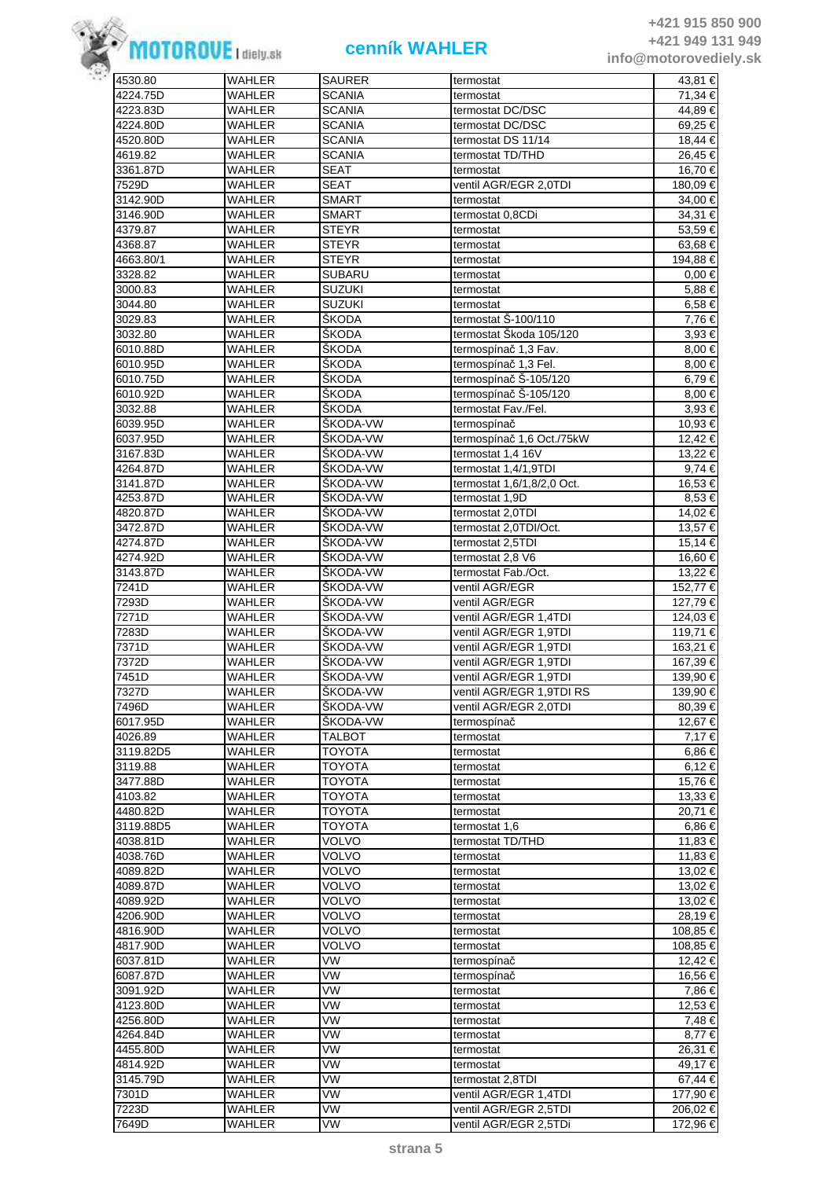

| 4530.80   | WAHLER        | <b>SAURER</b>   | termostat                  | 43,81 €    |
|-----------|---------------|-----------------|----------------------------|------------|
| 4224.75D  | <b>WAHLER</b> | <b>SCANIA</b>   | termostat                  | 71,34 €    |
| 4223.83D  | WAHLER        | <b>SCANIA</b>   | termostat DC/DSC           | 44,89 €    |
| 4224.80D  | WAHLER        | <b>SCANIA</b>   | termostat DC/DSC           | 69,25 €    |
| 4520.80D  | WAHLER        | <b>SCANIA</b>   | termostat DS 11/14         | 18,44 €    |
| 4619.82   | WAHLER        | <b>SCANIA</b>   | termostat TD/THD           | 26,45 €    |
|           |               |                 |                            |            |
| 3361.87D  | WAHLER        | SEAT            | termostat                  | 16,70 €    |
| 7529D     | WAHLER        | <b>SEAT</b>     | ventil AGR/EGR 2,0TDI      | 180,09 €   |
| 3142.90D  | <b>WAHLER</b> | <b>SMART</b>    | termostat                  | 34,00 €    |
| 3146.90D  | <b>WAHLER</b> | <b>SMART</b>    | termostat 0,8CDi           | 34,31 €    |
| 4379.87   | WAHLER        | <b>STEYR</b>    | termostat                  | 53,59 €    |
|           |               |                 |                            |            |
| 4368.87   | WAHLER        | <b>STEYR</b>    | termostat                  | 63,68 €    |
| 4663.80/1 | WAHLER        | <b>STEYR</b>    | termostat                  | 194,88 €   |
| 3328.82   | WAHLER        | <b>SUBARU</b>   | termostat                  | $0.00 \in$ |
| 3000.83   | WAHLER        | <b>SUZUKI</b>   | termostat                  | 5,88€      |
| 3044.80   | WAHLER        | <b>SUZUKI</b>   | termostat                  | 6,58€      |
| 3029.83   | WAHLER        | ŠKODA           | termostat Š-100/110        |            |
|           |               |                 |                            | 7,76 €     |
| 3032.80   | WAHLER        | ŠKODA           | termostat Škoda 105/120    | 3,93 €     |
| 6010.88D  | <b>WAHLER</b> | ŠKODA           | termospínač 1,3 Fav.       | 8,00 €     |
| 6010.95D  | WAHLER        | ŠKODA           | termospínač 1,3 Fel.       | 8.00 €     |
| 6010.75D  | WAHLER        | <b>ŠKODA</b>    | termospínač S-105/120      | 6,79€      |
| 6010.92D  | WAHLER        | ŠKODA           | termospínač Š-105/120      | 8,00 €     |
|           |               |                 |                            |            |
| 3032.88   | WAHLER        | <b>SKODA</b>    | termostat Fav./Fel.        | 3,93 €     |
| 6039.95D  | WAHLER        | ŠKODA-VW        | termospínač                | 10,93€     |
| 6037.95D  | WAHLER        | SKODA-VW        | termospínač 1,6 Oct./75kW  | 12,42 €    |
| 3167.83D  | WAHLER        | SKODA-VW        | termostat 1,4 16V          | 13,22 €    |
| 4264.87D  | WAHLER        | SKODA-VW        | termostat 1,4/1,9TDI       | 9,74 €     |
|           | <b>WAHLER</b> | ŠKODA-VW        |                            |            |
| 3141.87D  |               |                 | termostat 1,6/1,8/2,0 Oct. | 16,53 €    |
| 4253.87D  | WAHLER        | ŠKODA-VW        | termostat 1,9D             | 8,53 €     |
| 4820.87D  | WAHLER        | <b>SKODA-VW</b> | termostat 2,0TDI           | 14,02 €    |
| 3472.87D  | WAHLER        | SKODA-VW        | termostat 2,0TDI/Oct.      | 13,57 €    |
| 4274.87D  | WAHLER        | SKODA-VW        | termostat 2,5TDI           | 15,14 €    |
| 4274.92D  | WAHLER        | SKODA-VW        | termostat 2,8 V6           | 16,60 €    |
|           |               |                 |                            |            |
| 3143.87D  | WAHLER        | SKODA-VW        | termostat Fab./Oct.        | 13,22 €    |
| 7241D     | WAHLER        | ŠKODA-VW        | ventil AGR/EGR             | 152,77 €   |
| 7293D     | <b>WAHLER</b> | ŠKODA-VW        | ventil AGR/EGR             | 127,79 €   |
| 7271D     | <b>WAHLER</b> | ŠKODA-VW        | ventil AGR/EGR 1,4TDI      | 124,03 €   |
| 7283D     | WAHLER        | SKODA-VW        | ventil AGR/EGR 1,9TDI      | 119,71 €   |
|           |               |                 |                            |            |
| 7371D     | WAHLER        | <b>SKODA-VW</b> | ventil AGR/EGR 1,9TDI      | 163,21 €   |
| 7372D     | <b>WAHLER</b> | ŠKODA-VW        | ventil AGR/EGR 1,9TDI      | 167,39 €   |
| 7451D     | <b>WAHLER</b> | ŠKODA-VW        | ventil AGR/EGR 1,9TDI      | 139,90 €   |
| 7327D     | <b>WAHLER</b> | ŠKODA-VW        | ventil AGR/EGR 1.9TDI RS   | 139,90 €   |
| 7496D     | WAHLER        | SKODA-VW        | ventil AGR/EGR 2,0TDI      | 80,39 €    |
|           |               |                 |                            |            |
| 6017.95D  | WAHLER        | SKODA-VW        | termospínač                | 12,67 €    |
| 4026.89   | WAHLER        | <b>TALBOT</b>   | termostat                  | 7,17€      |
| 3119.82D5 | <b>WAHLER</b> | TOYOTA          | termostat                  | 6,86€      |
| 3119.88   | WAHLER        | TOYOTA          | termostat                  | 6,12€      |
| 3477.88D  | WAHLER        | TOYOTA          | termostat                  | 15,76 €    |
|           |               |                 |                            |            |
| 4103.82   | WAHLER        | <b>TOYOTA</b>   | termostat                  | 13,33 €    |
| 4480.82D  | <b>WAHLER</b> | <b>TOYOTA</b>   | termostat                  | 20,71 €    |
| 3119.88D5 | WAHLER        | <b>TOYOTA</b>   | termostat 1,6              | 6,86€      |
| 4038.81D  | WAHLER        | <b>VOLVO</b>    | termostat TD/THD           | 11,83 €    |
| 4038.76D  | WAHLER        | VOLVO           | termostat                  | 11,83 €    |
| 4089.82D  | WAHLER        | VOLVO           | termostat                  | 13,02 €    |
|           |               | <b>VOLVO</b>    |                            |            |
| 4089.87D  | WAHLER        |                 | termostat                  | 13,02 €    |
| 4089.92D  | WAHLER        | <b>VOLVO</b>    | termostat                  | 13,02 €    |
| 4206.90D  | WAHLER        | <b>VOLVO</b>    | termostat                  | 28,19€     |
| 4816.90D  | WAHLER        | <b>VOLVO</b>    | termostat                  | 108,85 €   |
| 4817.90D  | WAHLER        | <b>VOLVO</b>    | termostat                  | 108,85 €   |
| 6037.81D  | WAHLER        | VW              | termospínač                | 12,42 €    |
|           |               |                 |                            |            |
| 6087.87D  | WAHLER        | VW              | termospínač                | 16,56 €    |
| 3091.92D  | WAHLER        | VW              | termostat                  | 7,86 €     |
| 4123.80D  | WAHLER        | VW              | termostat                  | 12,53 €    |
| 4256.80D  | WAHLER        | VW              | termostat                  | 7,48€      |
| 4264.84D  | WAHLER        | VW              | termostat                  | 8,77 €     |
|           |               |                 |                            |            |
| 4455.80D  | WAHLER        | VW              | termostat                  | 26,31 €    |
| 4814.92D  | WAHLER        | VW              | termostat                  | 49,17 €    |
| 3145.79D  | WAHLER        | VW              | termostat 2,8TDI           | 67,44 €    |
| 7301D     | WAHLER        | VW              | ventil AGR/EGR 1,4TDI      | 177,90 €   |
| 7223D     | WAHLER        | VW              | ventil AGR/EGR 2,5TDI      | 206,02 €   |
|           |               |                 |                            |            |
| 7649D     | WAHLER        | VW              | ventil AGR/EGR 2,5TDi      | 172,96 €   |